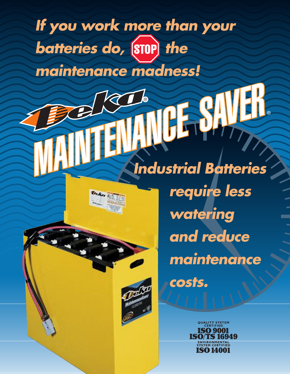# If you work more than your batteries do, (STOP) the

maintenance madness!

ENIA

MI

## **Industrial Batteries**

require less watering and reduce maintenance



costs.

**QUALITY SYSTEM**<br>CERTIFIED **ISO 9001 ISO/TS 16949** ISO 14001